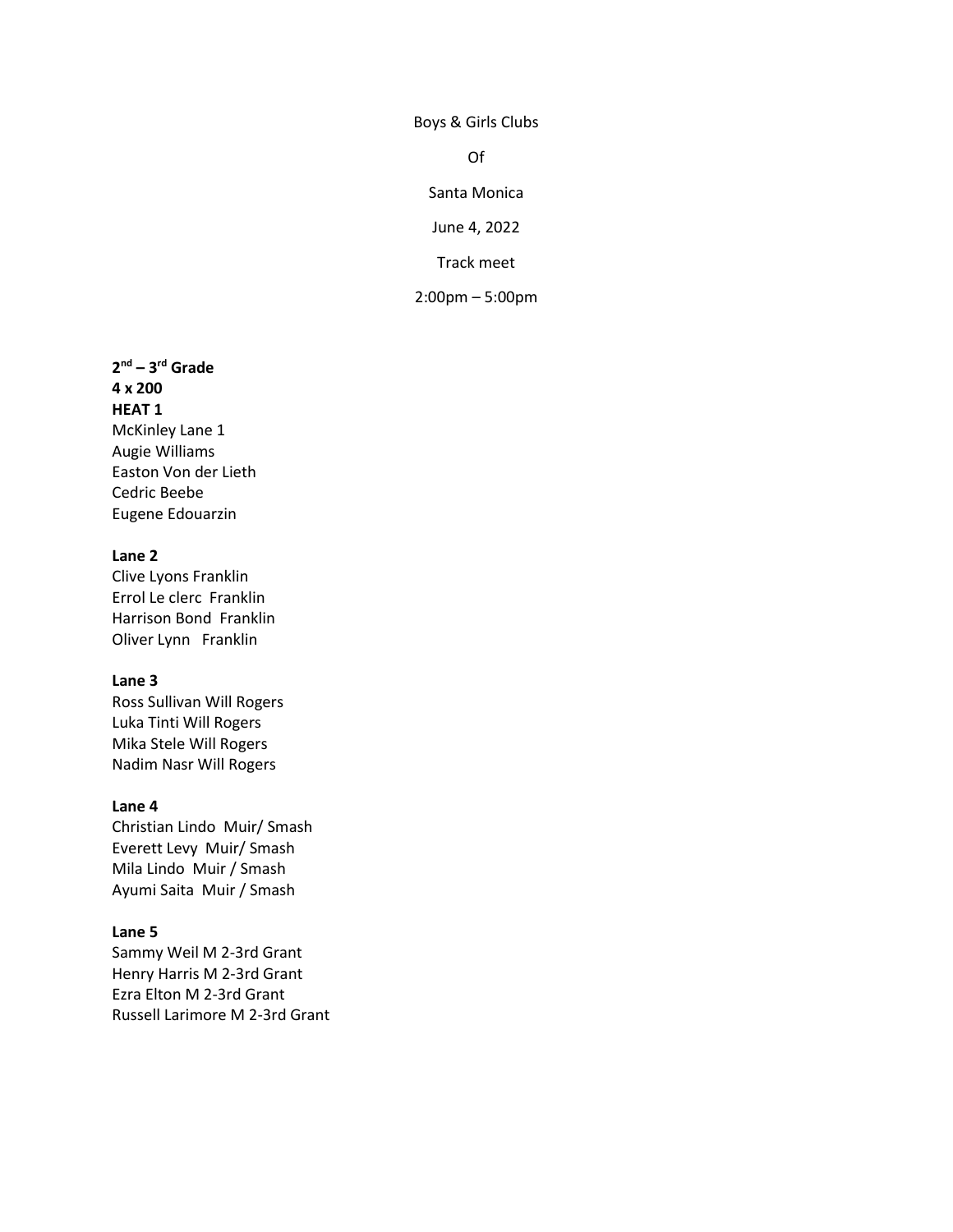Boys & Girls Clubs

Of

Santa Monica

June 4, 2022

Track meet

2:00pm – 5:00pm

**2 nd – 3 rd Grade 4 x 200 HEAT 1** McKinley Lane 1 Augie Williams Easton Von der Lieth Cedric Beebe Eugene Edouarzin

### **Lane 2**

Clive Lyons Franklin Errol Le clerc Franklin Harrison Bond Franklin Oliver Lynn Franklin

#### **Lane 3**

Ross Sullivan Will Rogers Luka Tinti Will Rogers Mika Stele Will Rogers Nadim Nasr Will Rogers

#### **Lane 4**

Christian Lindo Muir/ Smash Everett Levy Muir/ Smash Mila Lindo Muir / Smash Ayumi Saita Muir / Smash

#### **Lane 5**

Sammy Weil M 2-3rd Grant Henry Harris M 2-3rd Grant Ezra Elton M 2-3rd Grant Russell Larimore M 2-3rd Grant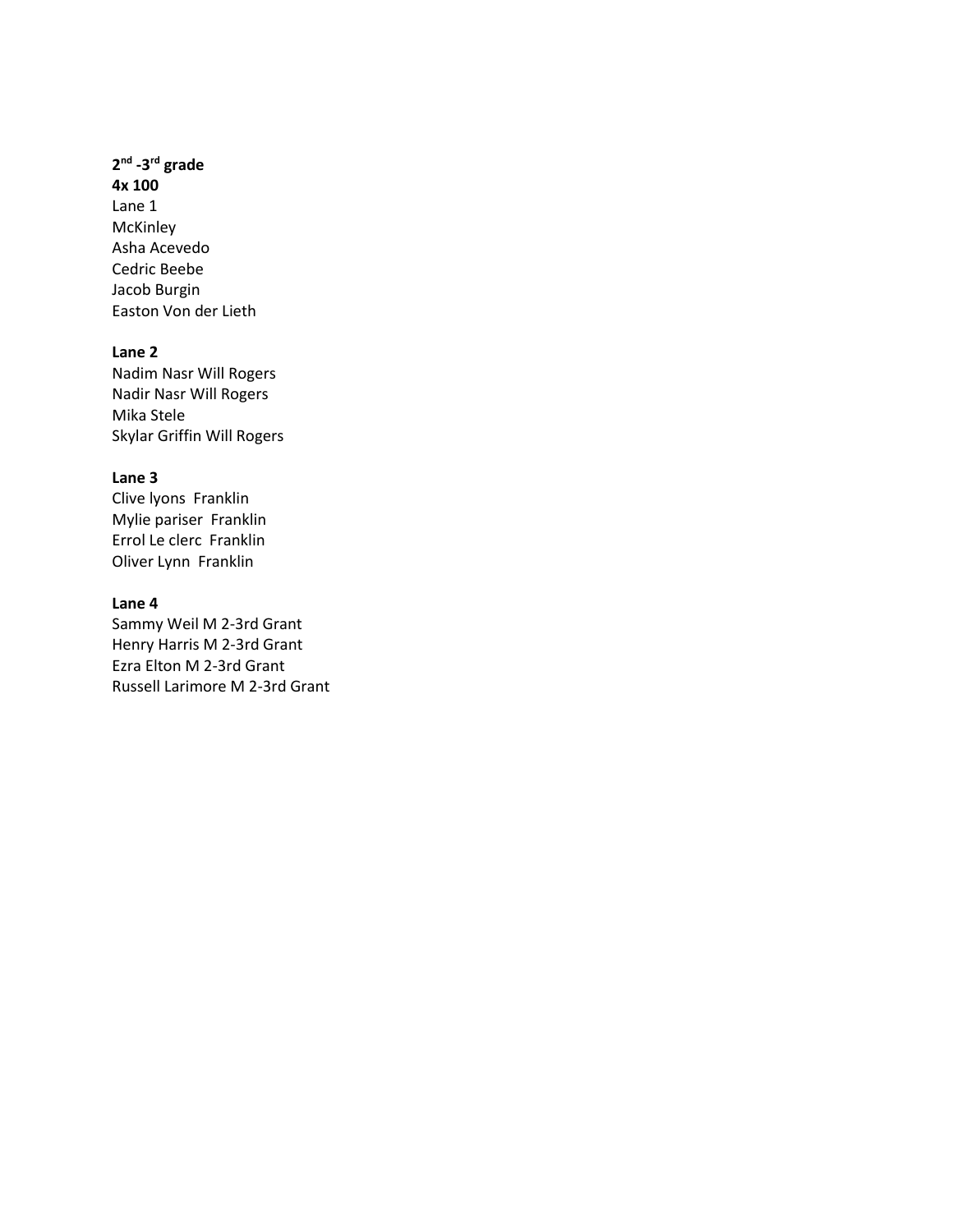## **2 nd -3 rd grade**

**4x 100** Lane 1 McKinley Asha Acevedo Cedric Beebe Jacob Burgin Easton Von der Lieth

# **Lane 2**

Nadim Nasr Will Rogers Nadir Nasr Will Rogers Mika Stele Skylar Griffin Will Rogers

### **Lane 3**

Clive lyons Franklin Mylie pariser Franklin Errol Le clerc Franklin Oliver Lynn Franklin

#### **Lane 4**

Sammy Weil M 2-3rd Grant Henry Harris M 2-3rd Grant Ezra Elton M 2-3rd Grant Russell Larimore M 2-3rd Grant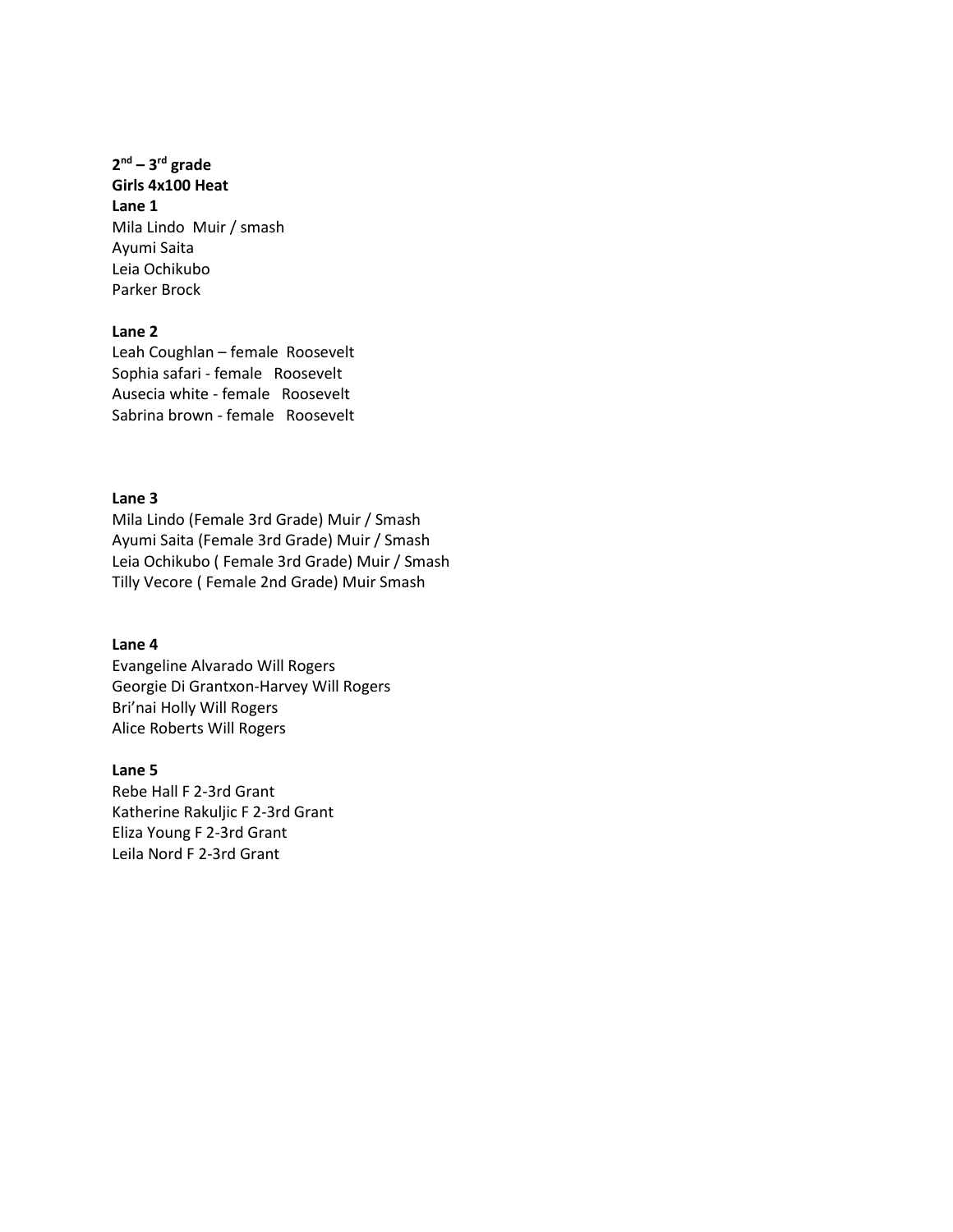**2 nd – 3 rd grade Girls 4x100 Heat Lane 1** Mila Lindo Muir / smash Ayumi Saita Leia Ochikubo Parker Brock

### **Lane 2**

Leah Coughlan – female Roosevelt Sophia safari - female Roosevelt Ausecia white - female Roosevelt Sabrina brown - female Roosevelt

### **Lane 3**

Mila Lindo (Female 3rd Grade) Muir / Smash Ayumi Saita (Female 3rd Grade) Muir / Smash Leia Ochikubo ( Female 3rd Grade) Muir / Smash Tilly Vecore ( Female 2nd Grade) Muir Smash

#### **Lane 4**

Evangeline Alvarado Will Rogers Georgie Di Grantxon-Harvey Will Rogers Bri'nai Holly Will Rogers Alice Roberts Will Rogers

**Lane 5** Rebe Hall F 2-3rd Grant Katherine Rakuljic F 2-3rd Grant Eliza Young F 2-3rd Grant Leila Nord F 2-3rd Grant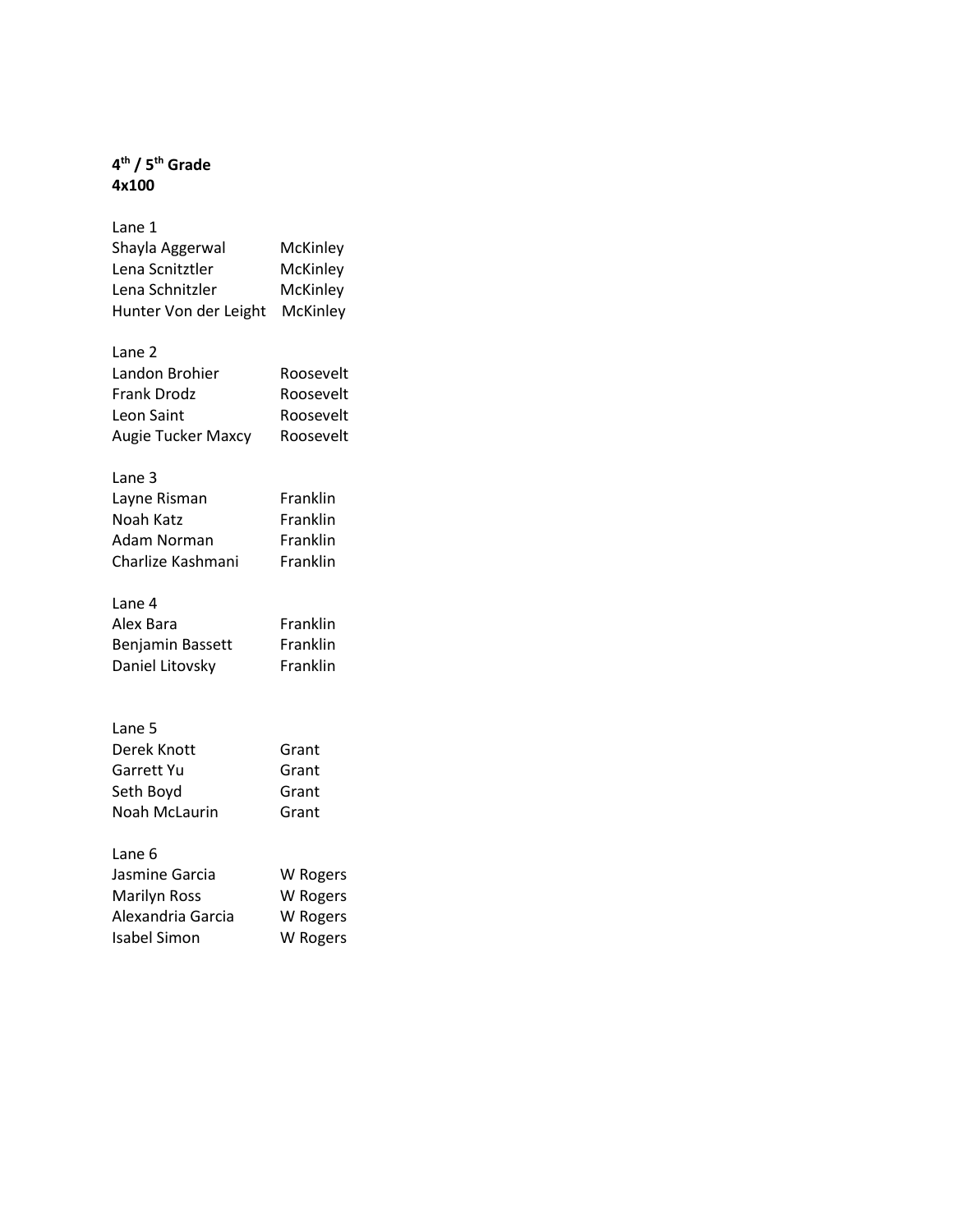# **4 th / 5th Grade 4x100**

| Lane 1                    |           |
|---------------------------|-----------|
| Shayla Aggerwal           | McKinley  |
| Lena Scnitztler           | McKinley  |
| Lena Schnitzler           | McKinley  |
| Hunter Von der Leight     | McKinley  |
|                           |           |
| Lane <sub>2</sub>         |           |
| Landon Brohier            | Roosevelt |
| <b>Frank Drodz</b>        | Roosevelt |
| Leon Saint                | Roosevelt |
| <b>Augie Tucker Maxcy</b> | Roosevelt |
|                           |           |
| Lane 3                    |           |
| Layne Risman              | Franklin  |
| Noah Katz                 | Franklin  |
| Adam Norman               | Franklin  |
| Charlize Kashmani         | Franklin  |
|                           |           |
| Lane 4                    |           |
| Alex Bara                 | Franklin  |
| Benjamin Bassett          | Franklin  |
| Daniel Litovsky           | Franklin  |
|                           |           |
|                           |           |
| Lane 5                    |           |
| Derek Knott               | Grant     |
| Garrett Yu                | Grant     |
| Seth Boyd                 | Grant     |
| Noah McLaurin             | Grant     |
|                           |           |
| Lane 6                    |           |
| Jasmine Garcia            | W Rogers  |
| <b>Marilyn Ross</b>       | W Rogers  |
| Alexandria Garcia         | W Rogers  |
| <b>Isabel Simon</b>       | W Rogers  |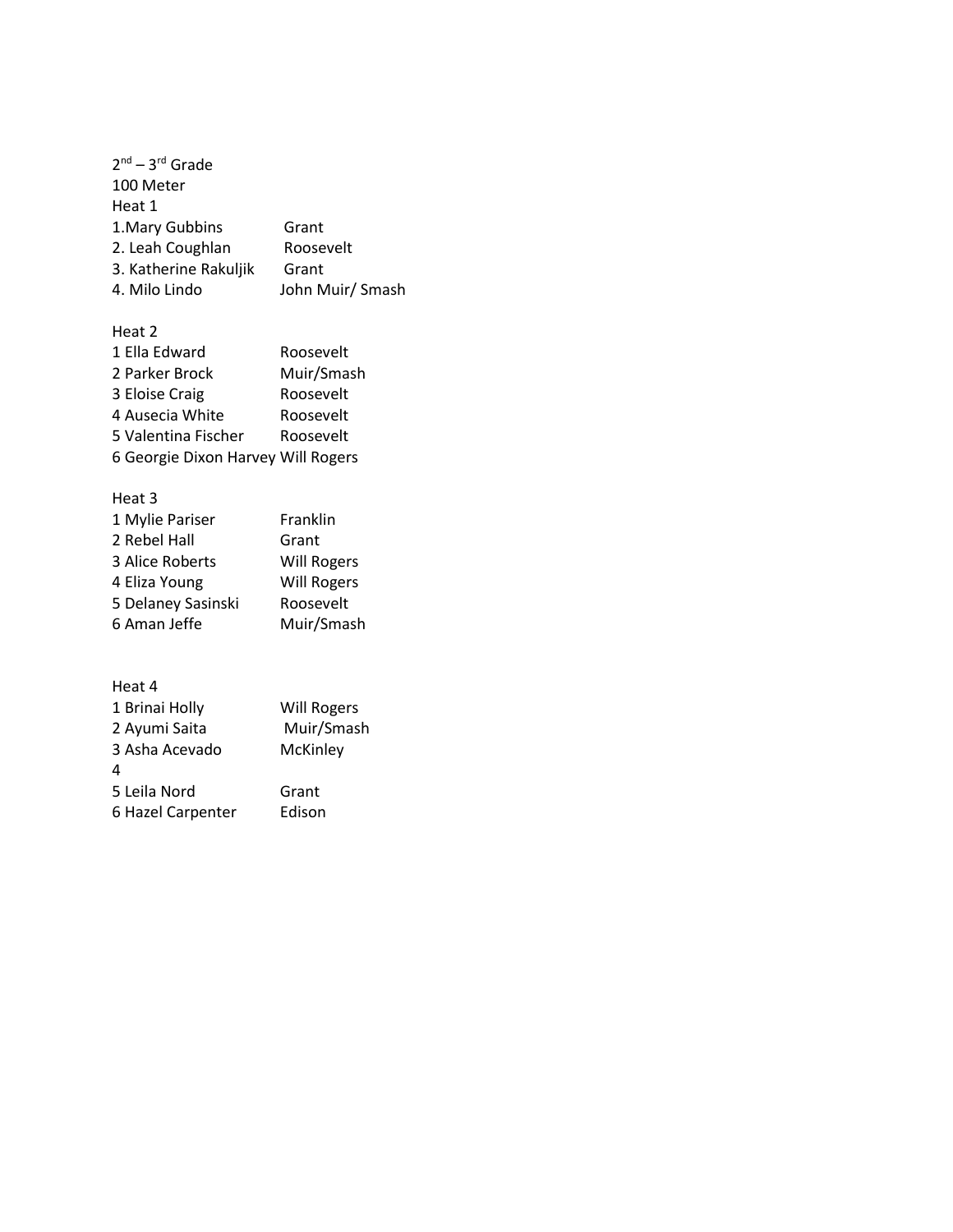| $2^{nd} - 3^{rd}$ Grade |                  |
|-------------------------|------------------|
| 100 Meter               |                  |
| Heat 1                  |                  |
| 1. Mary Gubbins         | Grant            |
| 2. Leah Coughlan        | Roosevelt        |
| 3. Katherine Rakuljik   | Grant            |
| 4. Milo Lindo           | John Muir/ Smash |

| Heat 2                             |            |
|------------------------------------|------------|
| 1 Ella Edward                      | Roosevelt  |
| 2 Parker Brock                     | Muir/Smash |
| 3 Eloise Craig                     | Roosevelt  |
| 4 Ausecia White                    | Roosevelt  |
| 5 Valentina Fischer                | Roosevelt  |
| 6 Georgie Dixon Harvey Will Rogers |            |

# Heat 3

| 1 Mylie Pariser    | Franklin           |
|--------------------|--------------------|
| 2 Rebel Hall       | Grant              |
| 3 Alice Roberts    | <b>Will Rogers</b> |
| 4 Eliza Young      | <b>Will Rogers</b> |
| 5 Delaney Sasinski | Roosevelt          |
| 6 Aman Jeffe       | Muir/Smash         |
|                    |                    |

| 1 Brinai Holly    | <b>Will Rogers</b> |
|-------------------|--------------------|
| 2 Ayumi Saita     | Muir/Smash         |
| 3 Asha Acevado    | McKinley           |
| 4                 |                    |
| 5 Leila Nord      | Grant              |
| 6 Hazel Carpenter | Edison             |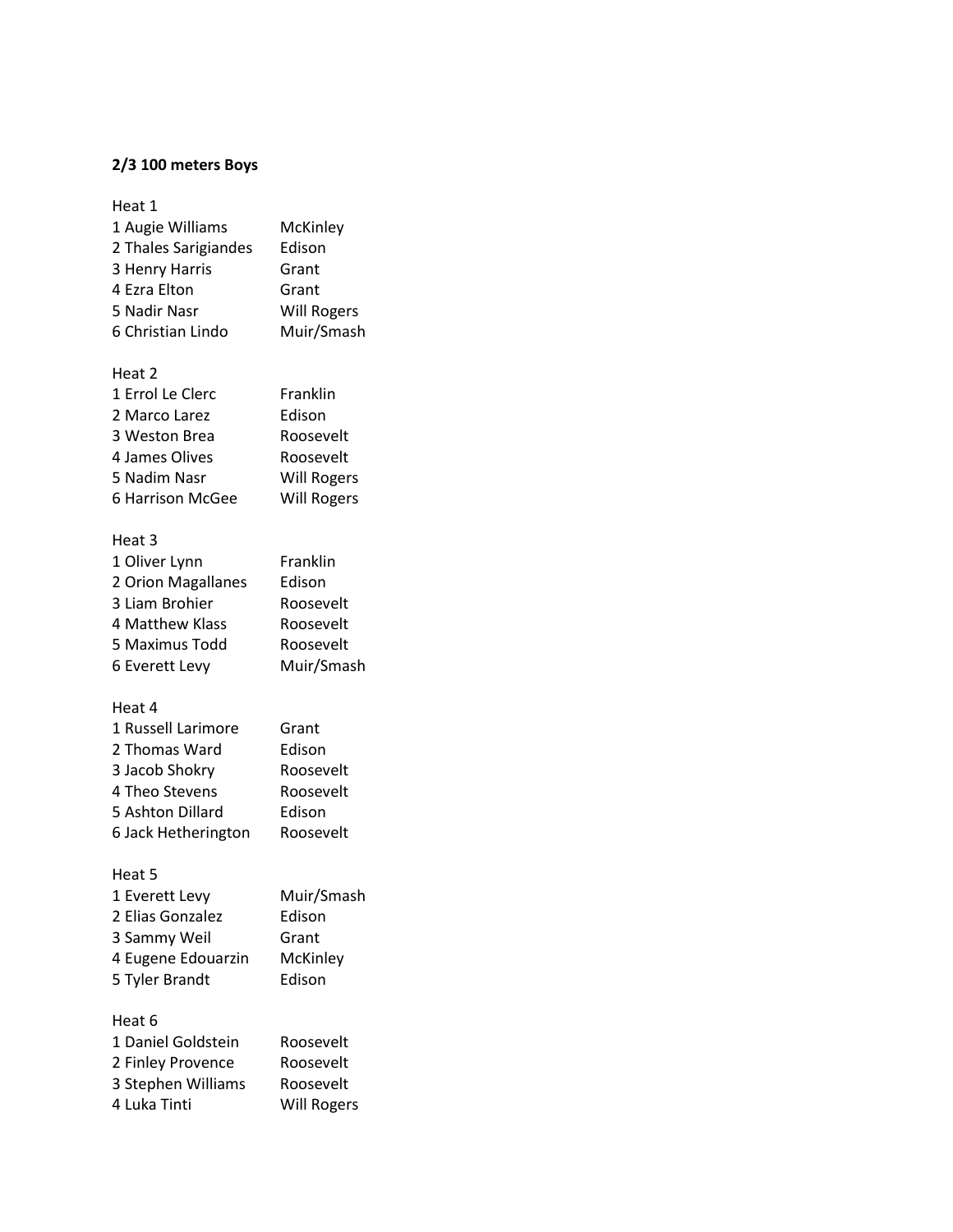# **2/3 100 meters Boys**

#### Heat 1

| 1 Augie Williams     | McKinley           |
|----------------------|--------------------|
| 2 Thales Sarigiandes | Edison             |
| 3 Henry Harris       | Grant              |
| 4 Ezra Elton         | Grant              |
| 5 Nadir Nasr         | <b>Will Rogers</b> |
| 6 Christian Lindo    | Muir/Smash         |

# Heat 2

| 1 Errol Le Clerc | Franklin           |
|------------------|--------------------|
| 2 Marco Larez    | Edison             |
| 3 Weston Brea    | Roosevelt          |
| 4 James Olives   | Roosevelt          |
| 5 Nadim Nasr     | <b>Will Rogers</b> |
| 6 Harrison McGee | <b>Will Rogers</b> |

## Heat 3

| 1 Oliver Lynn      | Franklin   |
|--------------------|------------|
| 2 Orion Magallanes | Edison     |
| 3 Liam Brohier     | Roosevelt  |
| 4 Matthew Klass    | Roosevelt  |
| 5 Maximus Todd     | Roosevelt  |
| 6 Everett Levy     | Muir/Smash |
|                    |            |

# Heat 4

| 1 Russell Larimore  | Grant     |
|---------------------|-----------|
| 2 Thomas Ward       | Edison    |
| 3 Jacob Shokry      | Roosevelt |
| 4 Theo Stevens      | Roosevelt |
| 5 Ashton Dillard    | Edison    |
| 6 Jack Hetherington | Roosevelt |

## Heat 5

| 1 Everett Levy     | Muir/Smash |
|--------------------|------------|
| 2 Elias Gonzalez   | Edison     |
| 3 Sammy Weil       | Grant      |
| 4 Eugene Edouarzin | McKinley   |
| 5 Tyler Brandt     | Edison     |
|                    |            |

| 1 Daniel Goldstein | Roosevelt          |
|--------------------|--------------------|
| 2 Finley Provence  | Roosevelt          |
| 3 Stephen Williams | Roosevelt          |
| 4 Luka Tinti       | <b>Will Rogers</b> |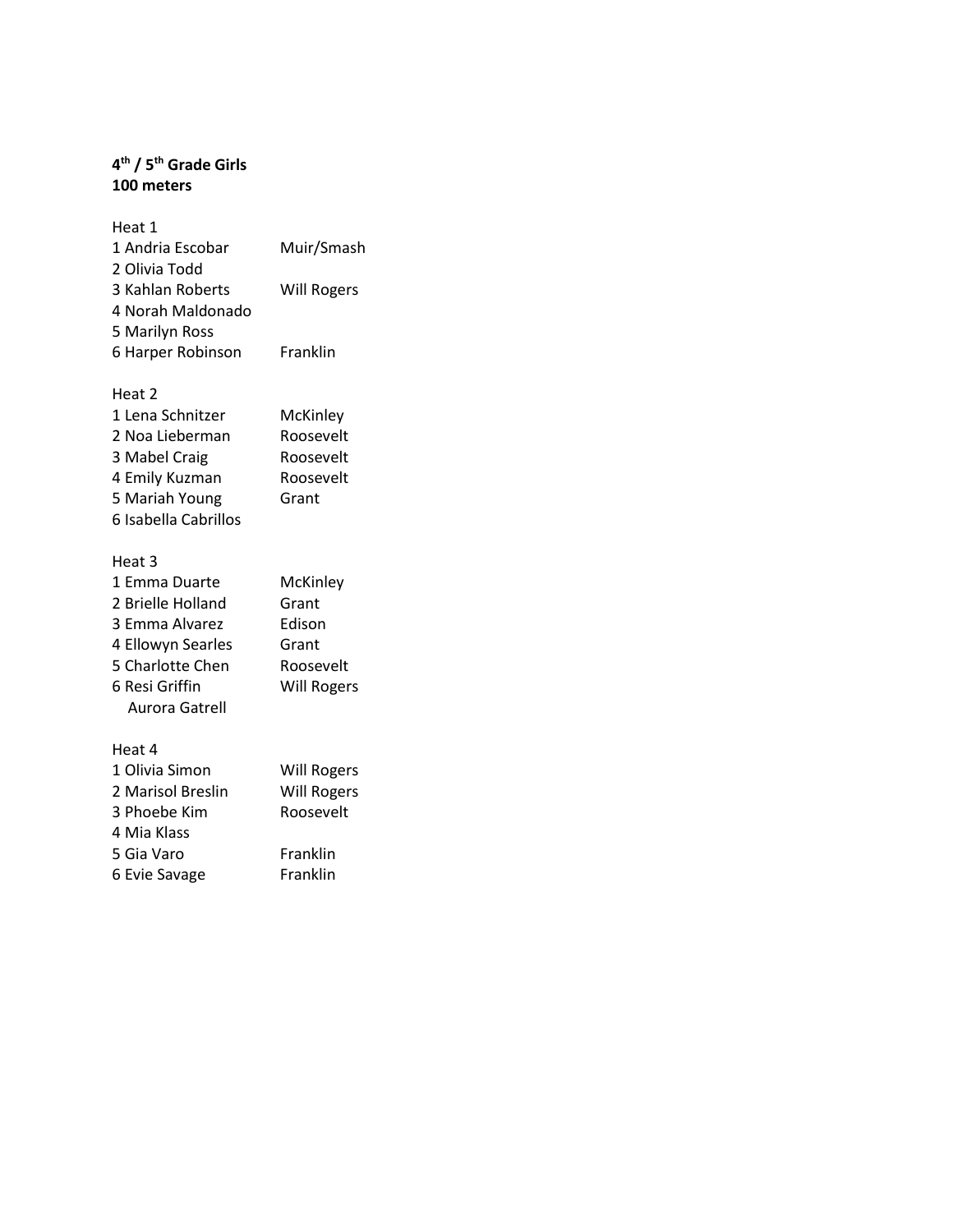### **4 th / 5th Grade Girls 100 meters**

| Heat 1            |                    |
|-------------------|--------------------|
| 1 Andria Escobar  | Muir/Smash         |
| 2 Olivia Todd     |                    |
| 3 Kahlan Roberts  | <b>Will Rogers</b> |
| 4 Norah Maldonado |                    |
| 5 Marilyn Ross    |                    |
| 6 Harper Robinson | Franklin           |
|                   |                    |

# Heat 2

| 1 Lena Schnitzer     | McKinley  |
|----------------------|-----------|
| 2 Noa Lieberman      | Roosevelt |
| 3 Mabel Craig        | Roosevelt |
| 4 Emily Kuzman       | Roosevelt |
| 5 Mariah Young       | Grant     |
| 6 Isabella Cabrillos |           |

## Heat 3

| 1 Emma Duarte     | McKinley           |
|-------------------|--------------------|
| 2 Brielle Holland | Grant              |
| 3 Emma Alvarez    | Edison             |
| 4 Ellowyn Searles | Grant              |
| 5 Charlotte Chen  | Roosevelt          |
| 6 Resi Griffin    | <b>Will Rogers</b> |
| Aurora Gatrell    |                    |
|                   |                    |

| <b>Will Rogers</b> |
|--------------------|
| <b>Will Rogers</b> |
| Roosevelt          |
|                    |
| Franklin           |
| Franklin           |
|                    |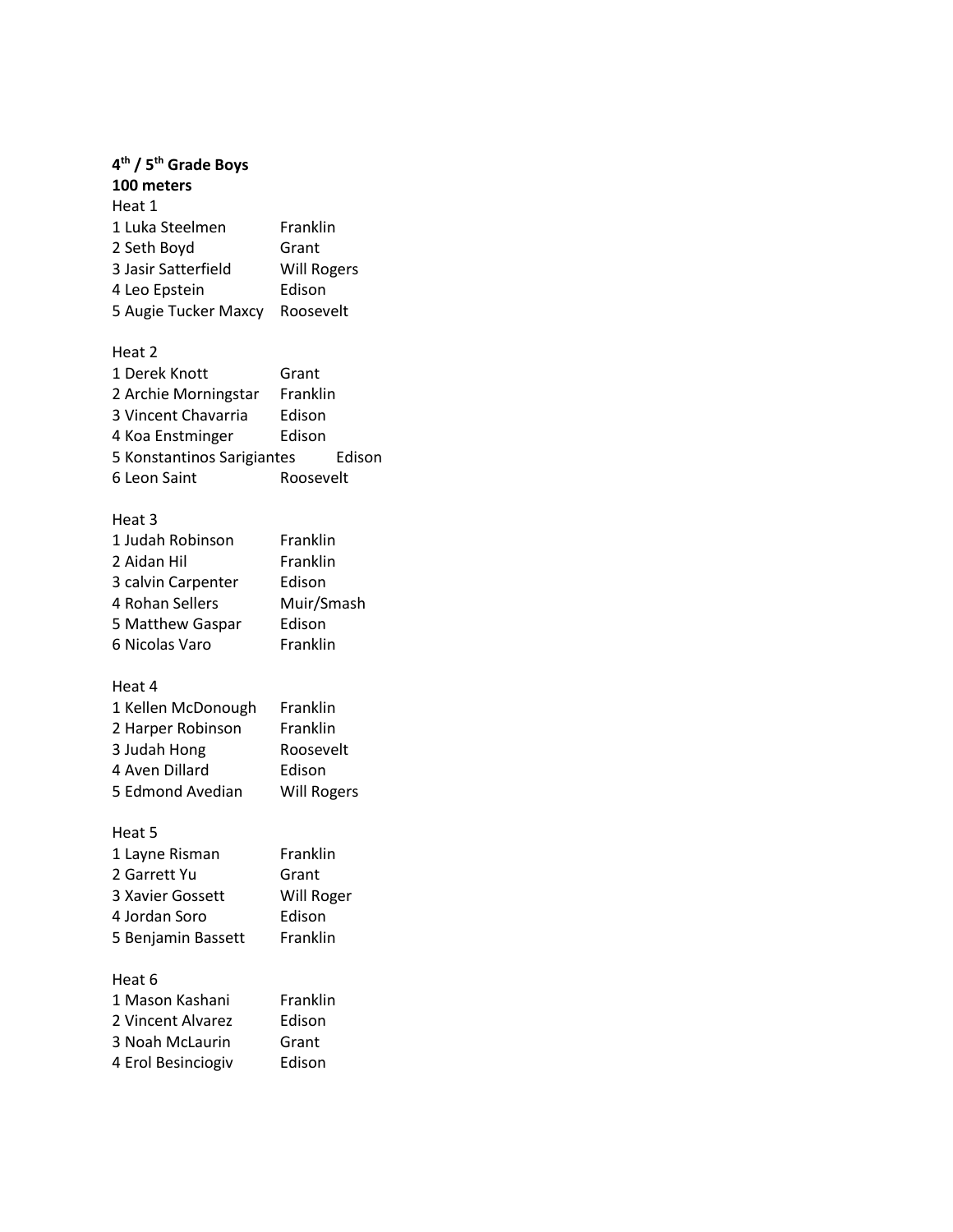| 4 <sup>th</sup> / 5 <sup>th</sup> Grade Boys |                    |
|----------------------------------------------|--------------------|
| 100 meters                                   |                    |
| Heat 1                                       |                    |
| 1 Luka Steelmen                              | Franklin           |
| 2 Seth Boyd                                  | Grant              |
| 3 Jasir Satterfield                          | <b>Will Rogers</b> |
| 4 Leo Epstein                                | Edison             |
| 5 Augie Tucker Maxcy Roosevelt               |                    |
| Heat 2                                       |                    |
| 1 Derek Knott                                | Grant              |
| 2 Archie Morningstar Franklin                |                    |
| 3 Vincent Chavarria                          | Edison             |
| 4 Koa Enstminger                             | Edison             |
| 5 Konstantinos Sarigiantes                   | Edison             |
| 6 Leon Saint                                 | Roosevelt          |
| Heat <sub>3</sub>                            |                    |
| 1 Judah Robinson                             | Franklin           |
| 2 Aidan Hil                                  | Franklin           |
| 3 calvin Carpenter                           | Edison             |
| 4 Rohan Sellers                              | Muir/Smash         |
| 5 Matthew Gaspar                             | Edison             |
| 6 Nicolas Varo                               | Franklin           |
| Heat 4                                       |                    |
| 1 Kellen McDonough                           | Franklin           |
| 2 Harper Robinson                            | Franklin           |
| 3 Judah Hong                                 | Roosevelt          |
| 4 Aven Dillard                               | Edison             |
| 5 Edmond Avedian                             | Will Rogers        |
| Heat 5                                       |                    |
| 1 Layne Risman                               | Franklin           |
| 2 Garrett Yu                                 | Grant              |
| 3 Xavier Gossett                             | Will Roger         |
| 4 Jordan Soro                                | Edison             |
| 5 Benjamin Bassett                           | Franklin           |
| Heat 6                                       |                    |
| 1 Mason Kashani                              | Franklin           |
| 2 Vincent Alvarez                            | Edison             |
| 3 Noah McLaurin                              | Grant              |
| 4 Erol Besinciogiv                           | Edison             |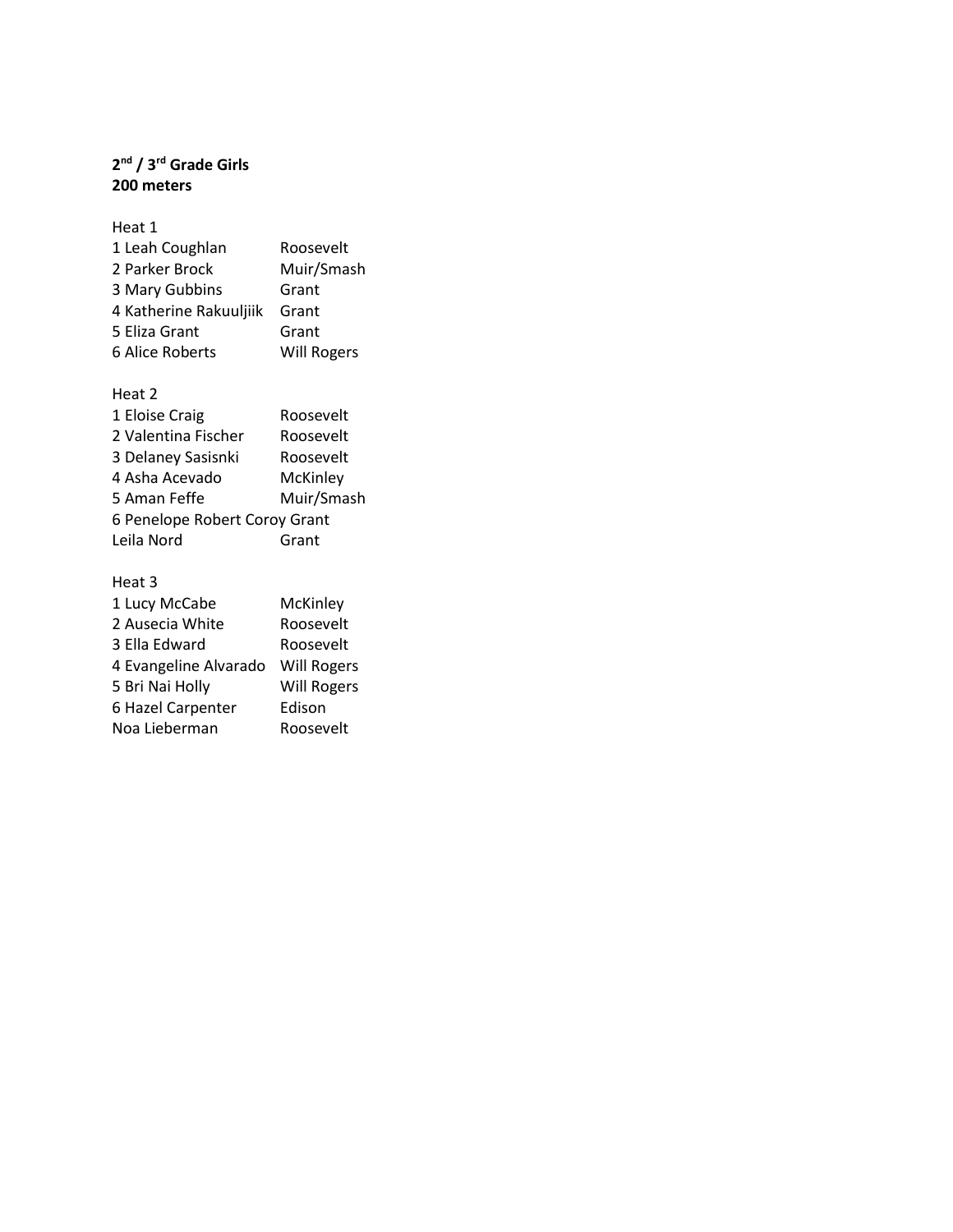### **2 nd / 3rd Grade Girls 200 meters**

| Heat 1                 |                    |
|------------------------|--------------------|
| 1 Leah Coughlan        | Roosevelt          |
| 2 Parker Brock         | Muir/Smash         |
| 3 Mary Gubbins         | Grant              |
| 4 Katherine Rakuuljiik | Grant              |
| 5 Eliza Grant          | Grant              |
| 6 Alice Roberts        | <b>Will Rogers</b> |

# Heat 2

| 1 Eloise Craig                | Roosevelt  |
|-------------------------------|------------|
| 2 Valentina Fischer           | Roosevelt  |
| 3 Delaney Sasisnki            | Roosevelt  |
| 4 Asha Acevado                | McKinley   |
| 5 Aman Feffe                  | Muir/Smash |
| 6 Penelope Robert Coroy Grant |            |
| Leila Nord                    | Grant      |

| 1 Lucy McCabe         | McKinley           |
|-----------------------|--------------------|
| 2 Ausecia White       | Roosevelt          |
| 3 Ella Edward         | Roosevelt          |
| 4 Evangeline Alvarado | <b>Will Rogers</b> |
| 5 Bri Nai Holly       | <b>Will Rogers</b> |
| 6 Hazel Carpenter     | Edison             |
| Noa Lieberman         | Roosevelt          |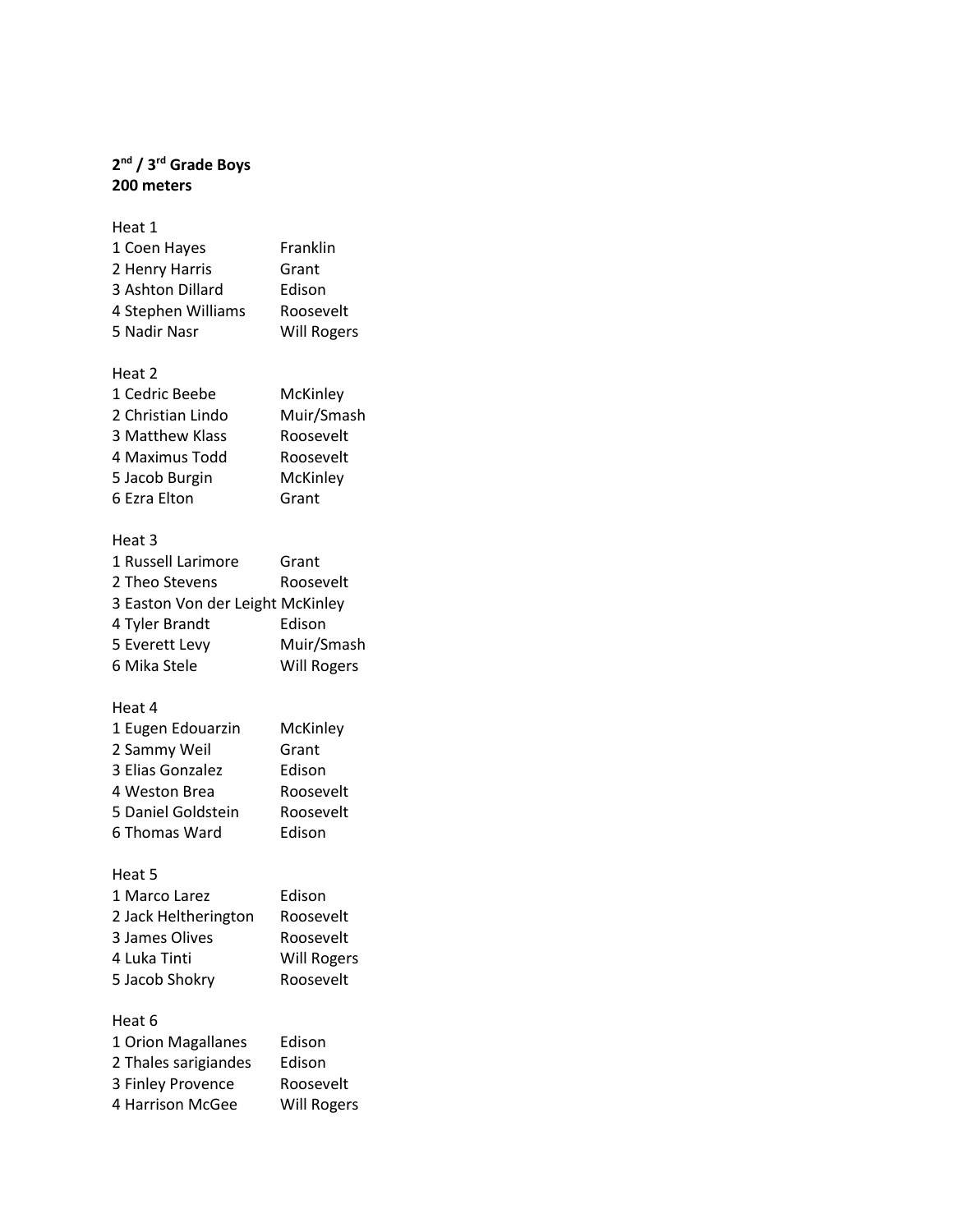### **2 nd / 3rd Grade Boys 200 meters**

| Heat 1             |                    |
|--------------------|--------------------|
| 1 Coen Hayes       | Franklin           |
| 2 Henry Harris     | Grant              |
| 3 Ashton Dillard   | Edison             |
| 4 Stephen Williams | Roosevelt          |
| 5 Nadir Nasr       | <b>Will Rogers</b> |

# Heat 2

| 1 Cedric Beebe    | McKinley   |
|-------------------|------------|
| 2 Christian Lindo | Muir/Smash |
| 3 Matthew Klass   | Roosevelt  |
| 4 Maximus Todd    | Roosevelt  |
| 5 Jacob Burgin    | McKinley   |
| 6 Ezra Elton      | Grant      |

# Heat 3

| 1 Russell Larimore               | Grant              |
|----------------------------------|--------------------|
| 2 Theo Stevens                   | Roosevelt          |
| 3 Easton Von der Leight McKinley |                    |
| 4 Tyler Brandt                   | Edison             |
| 5 Everett Levy                   | Muir/Smash         |
| 6 Mika Stele                     | <b>Will Rogers</b> |

# Heat 4

| 1 Eugen Edouarzin  | McKinley  |
|--------------------|-----------|
| 2 Sammy Weil       | Grant     |
| 3 Elias Gonzalez   | Edison    |
| 4 Weston Brea      | Roosevelt |
| 5 Daniel Goldstein | Roosevelt |
| 6 Thomas Ward      | Edison    |
|                    |           |

## Heat 5

| 1 Marco Larez        | Edison             |
|----------------------|--------------------|
| 2 Jack Heltherington | Roosevelt          |
| 3 James Olives       | Roosevelt          |
| 4 Luka Tinti         | <b>Will Rogers</b> |
| 5 Jacob Shokry       | Roosevelt          |
|                      |                    |

| 1 Orion Magallanes   | Edison             |
|----------------------|--------------------|
| 2 Thales sarigiandes | Edison             |
| 3 Finley Provence    | Roosevelt          |
| 4 Harrison McGee     | <b>Will Rogers</b> |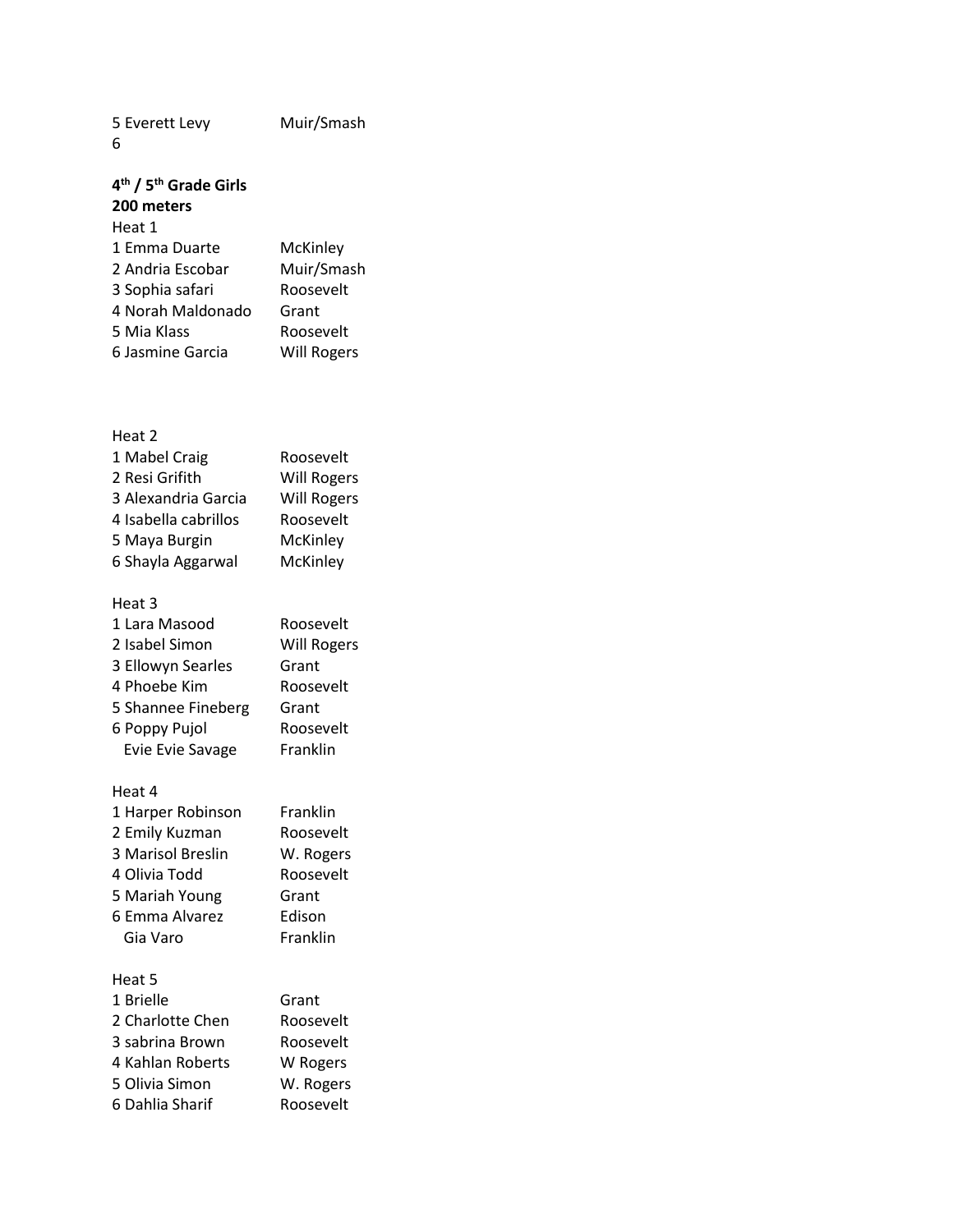5 Everett Levy Muir/Smash 6

### **4 th / 5th Grade Girls 200 meters**

# Heat 1

| 1 Emma Duarte     | McKinley           |
|-------------------|--------------------|
| 2 Andria Escobar  | Muir/Smash         |
| 3 Sophia safari   | Roosevelt          |
| 4 Norah Maldonado | Grant              |
| 5 Mia Klass       | Roosevelt          |
| 6 Jasmine Garcia  | <b>Will Rogers</b> |

# Heat 2

| 1 Mabel Craig        | Roosevelt          |
|----------------------|--------------------|
| 2 Resi Grifith       | <b>Will Rogers</b> |
| 3 Alexandria Garcia  | <b>Will Rogers</b> |
| 4 Isabella cabrillos | Roosevelt          |
| 5 Maya Burgin        | McKinley           |
| 6 Shayla Aggarwal    | McKinley           |
|                      |                    |

# Heat 3

| 1 Lara Masood           | Roosevelt          |
|-------------------------|--------------------|
| 2 Isabel Simon          | <b>Will Rogers</b> |
| 3 Ellowyn Searles       | Grant              |
| 4 Phoebe Kim            | Roosevelt          |
| 5 Shannee Fineberg      | Grant              |
| 6 Poppy Pujol           | Roosevelt          |
| <b>Evie Evie Savage</b> | Franklin           |

### Heat 4

| 1 Harper Robinson | Franklin  |
|-------------------|-----------|
| 2 Emily Kuzman    | Roosevelt |
| 3 Marisol Breslin | W. Rogers |
| 4 Olivia Todd     | Roosevelt |
| 5 Mariah Young    | Grant     |
| 6 Emma Alvarez    | Edison    |
| Gia Varo          | Franklin  |

| 1 Brielle        | Grant     |
|------------------|-----------|
| 2 Charlotte Chen | Roosevelt |
| 3 sabrina Brown  | Roosevelt |
| 4 Kahlan Roberts | W Rogers  |
| 5 Olivia Simon   | W. Rogers |
| 6 Dahlia Sharif  | Roosevelt |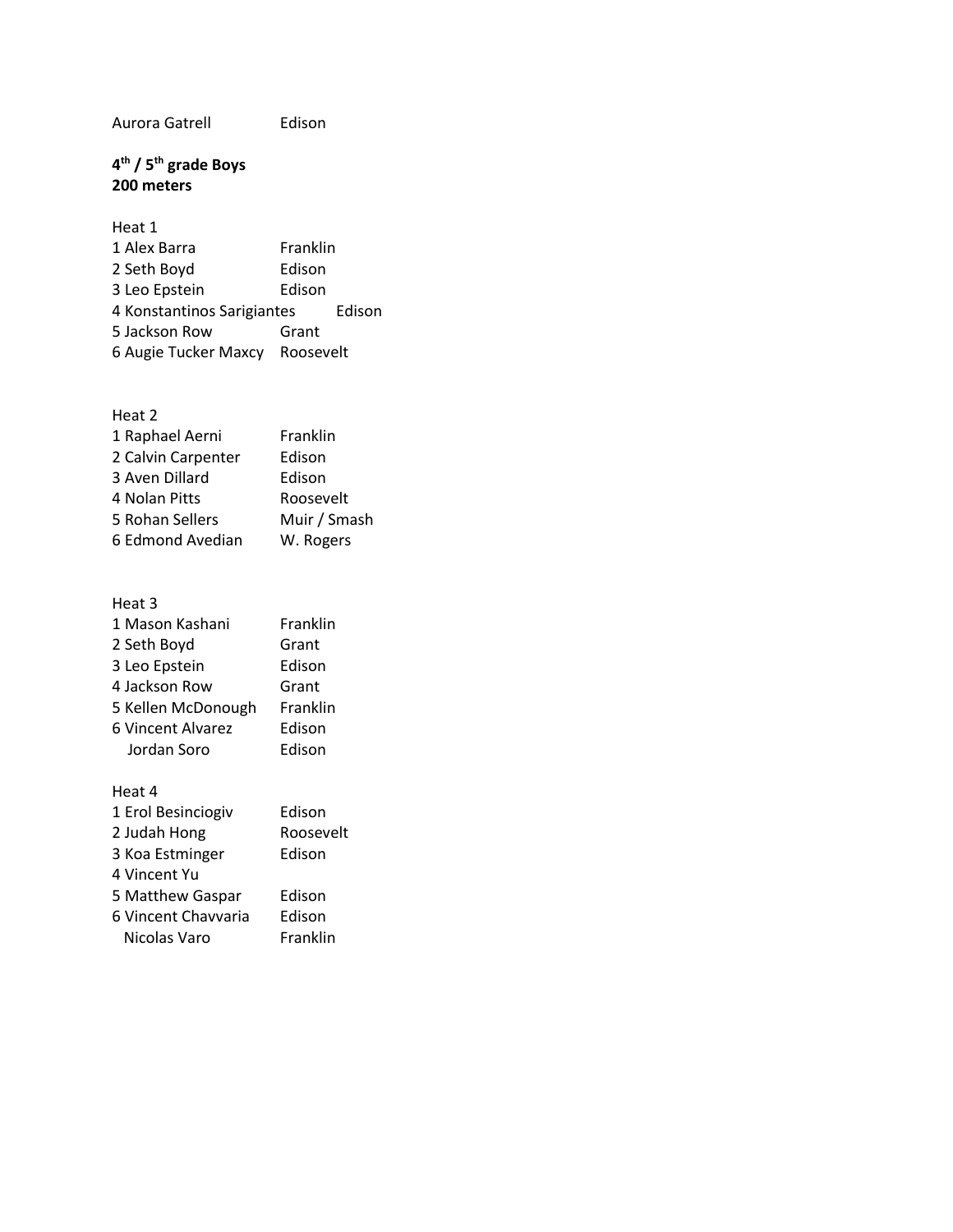Aurora Gatrell Edison

### **4 th / 5th grade Boys 200 meters**

| Heat 1                     |           |        |
|----------------------------|-----------|--------|
| 1 Alex Barra               | Franklin  |        |
| 2 Seth Boyd                | Edison    |        |
| 3 Leo Epstein              | Edison    |        |
| 4 Konstantinos Sarigiantes |           | Edison |
| 5 Jackson Row              | Grant     |        |
| 6 Augie Tucker Maxcy       | Roosevelt |        |

#### Heat 2

| 1 Raphael Aerni    | Franklin     |
|--------------------|--------------|
| 2 Calvin Carpenter | Edison       |
| 3 Aven Dillard     | Edison       |
| 4 Nolan Pitts      | Roosevelt    |
| 5 Rohan Sellers    | Muir / Smash |
| 6 Edmond Avedian   | W. Rogers    |

# Heat 3 1 Mason Kashani Franklin 2 Seth Boyd Grant 3 Leo Epstein Edison 4 Jackson Row Grant 5 Kellen McDonough Franklin 6 Vincent Alvarez Edison Jordan Soro Edison Heat 4 1 Erol Besinciogiv Edison

| I Erol Besinciogiv  | Edison    |
|---------------------|-----------|
| 2 Judah Hong        | Roosevelt |
| 3 Koa Estminger     | Edison    |
| 4 Vincent Yu        |           |
| 5 Matthew Gaspar    | Edison    |
| 6 Vincent Chavvaria | Edison    |
| Nicolas Varo        | Franklin  |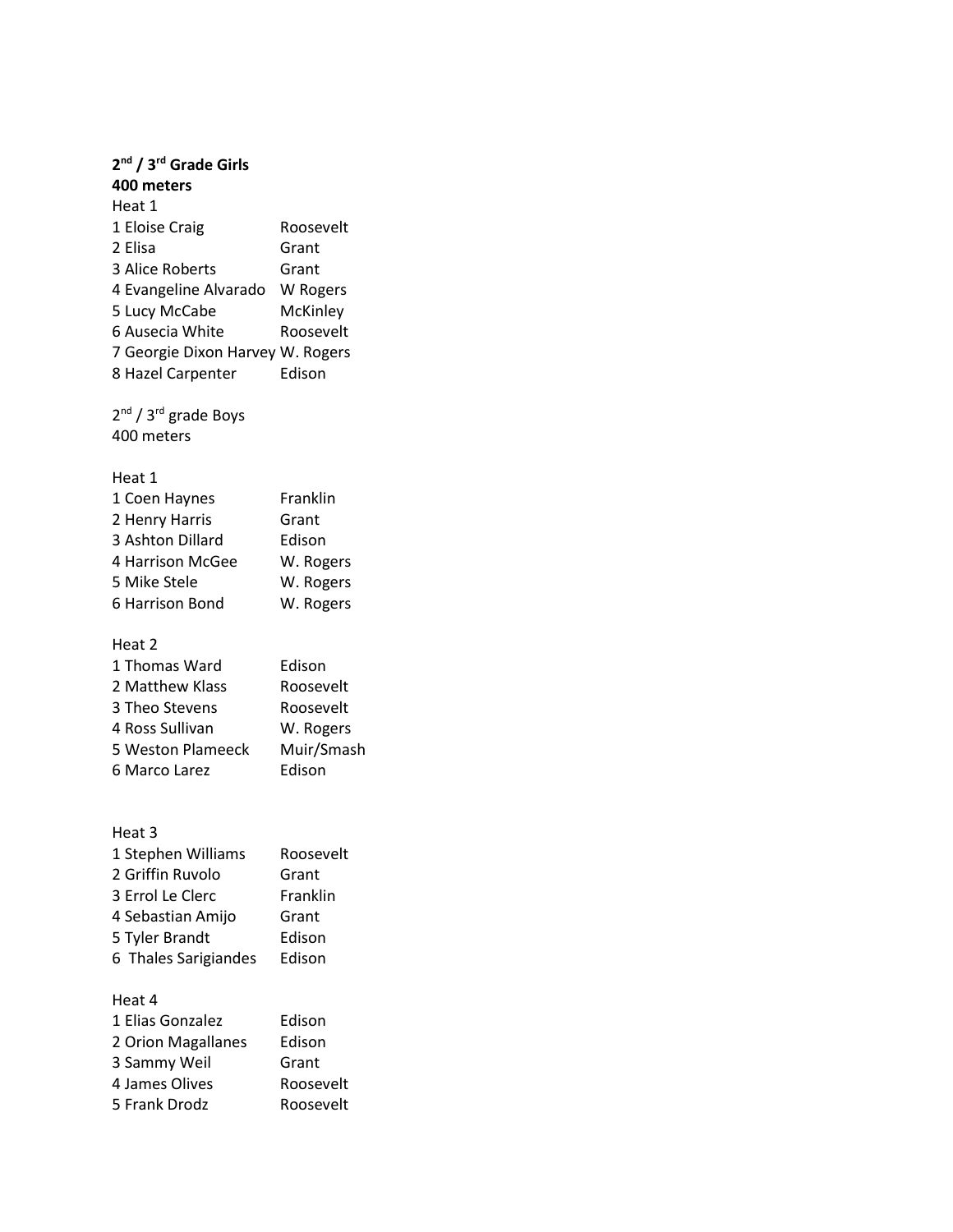| 2 <sup>nd</sup> / 3 <sup>rd</sup> Grade Girls |            |
|-----------------------------------------------|------------|
| 400 meters                                    |            |
| Heat 1                                        |            |
| 1 Eloise Craig                                | Roosevelt  |
| 2 Elisa                                       | Grant      |
| 3 Alice Roberts                               | Grant      |
| 4 Evangeline Alvarado                         | W Rogers   |
| 5 Lucy McCabe                                 | McKinley   |
| 6 Ausecia White                               | Roosevelt  |
| 7 Georgie Dixon Harvey W. Rogers              |            |
| 8 Hazel Carpenter                             | Edison     |
| 2 <sup>nd</sup> / 3 <sup>rd</sup> grade Boys  |            |
| 400 meters                                    |            |
| Heat 1                                        |            |
| 1 Coen Haynes                                 | Franklin   |
| 2 Henry Harris                                | Grant      |
| 3 Ashton Dillard                              | Edison     |
| 4 Harrison McGee                              | W. Rogers  |
| 5 Mike Stele                                  | W. Rogers  |
| 6 Harrison Bond                               | W. Rogers  |
| Heat 2                                        |            |
| 1 Thomas Ward                                 | Edison     |
| 2 Matthew Klass                               | Roosevelt  |
| 3 Theo Stevens                                | Roosevelt  |
| 4 Ross Sullivan                               | W. Rogers  |
| <b>5 Weston Plameeck</b>                      | Muir/Smash |
| 6 Marco Larez                                 | Edison     |
|                                               |            |
| Heat 3<br>1 Stephen Williams                  | Roosevelt  |
| 2 Griffin Ruvolo                              | Grant      |
| 3 Errol Le Clerc                              | Franklin   |
| 4 Sebastian Amijo                             | Grant      |
| 5 Tyler Brandt                                | Edison     |
| 6 Thales Sarigiandes                          | Edison     |
|                                               |            |
| Heat 4                                        |            |
| 1 Elias Gonzalez                              | Edison     |
| 2 Orion Magallanes                            | Edison     |
| 3 Sammy Weil                                  | Grant      |
| 4 James Olives                                | Roosevelt  |
| 5 Frank Drodz                                 | Roosevelt  |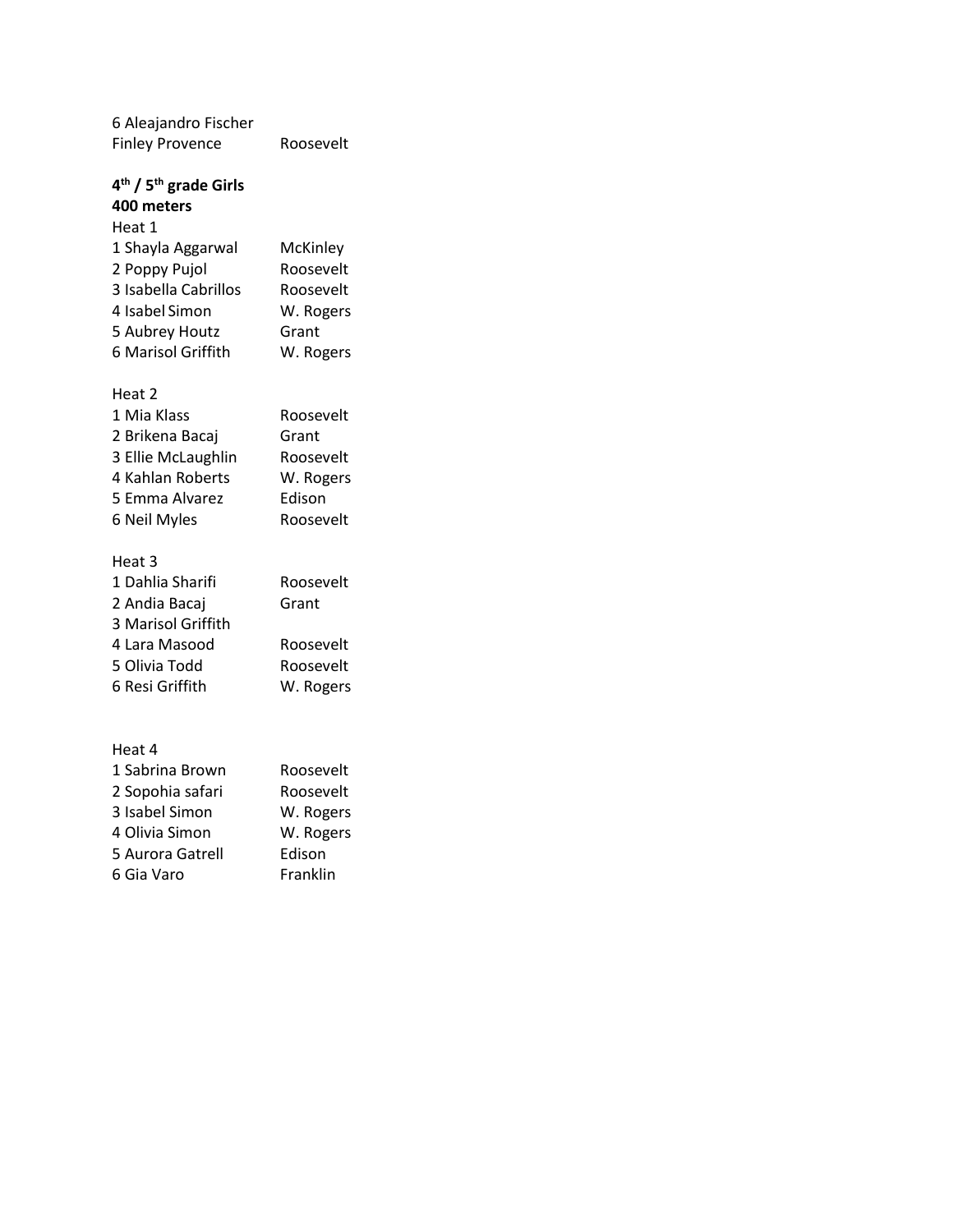6 Aleajandro Fischer Finley Provence Roosevelt

#### **4 th / 5th grade Girls 400 meters** Heat 1

| 1 Shayla Aggarwal    | McKinley  |
|----------------------|-----------|
| 2 Poppy Pujol        | Roosevelt |
| 3 Isabella Cabrillos | Roosevelt |
| 4 Isabel Simon       | W. Rogers |
| 5 Aubrey Houtz       | Grant     |
| 6 Marisol Griffith   | W. Rogers |
|                      |           |

# Heat 2

| 1 Mia Klass        | Roosevelt |
|--------------------|-----------|
| 2 Brikena Bacaj    | Grant     |
| 3 Ellie McLaughlin | Roosevelt |
| 4 Kahlan Roberts   | W. Rogers |
| 5 Emma Alvarez     | Edison    |
| 6 Neil Myles       | Roosevelt |

## Heat 3

| 1 Dahlia Sharifi   | Roosevelt |
|--------------------|-----------|
| 2 Andia Bacaj      | Grant     |
| 3 Marisol Griffith |           |
| 4 Lara Masood      | Roosevelt |
| 5 Olivia Todd      | Roosevelt |
| 6 Resi Griffith    | W. Rogers |

| 1 Sabrina Brown  | Roosevelt |
|------------------|-----------|
| 2 Sopohia safari | Roosevelt |
| 3 Isabel Simon   | W. Rogers |
| 4 Olivia Simon   | W. Rogers |
| 5 Aurora Gatrell | Edison    |
| 6 Gia Varo       | Franklin  |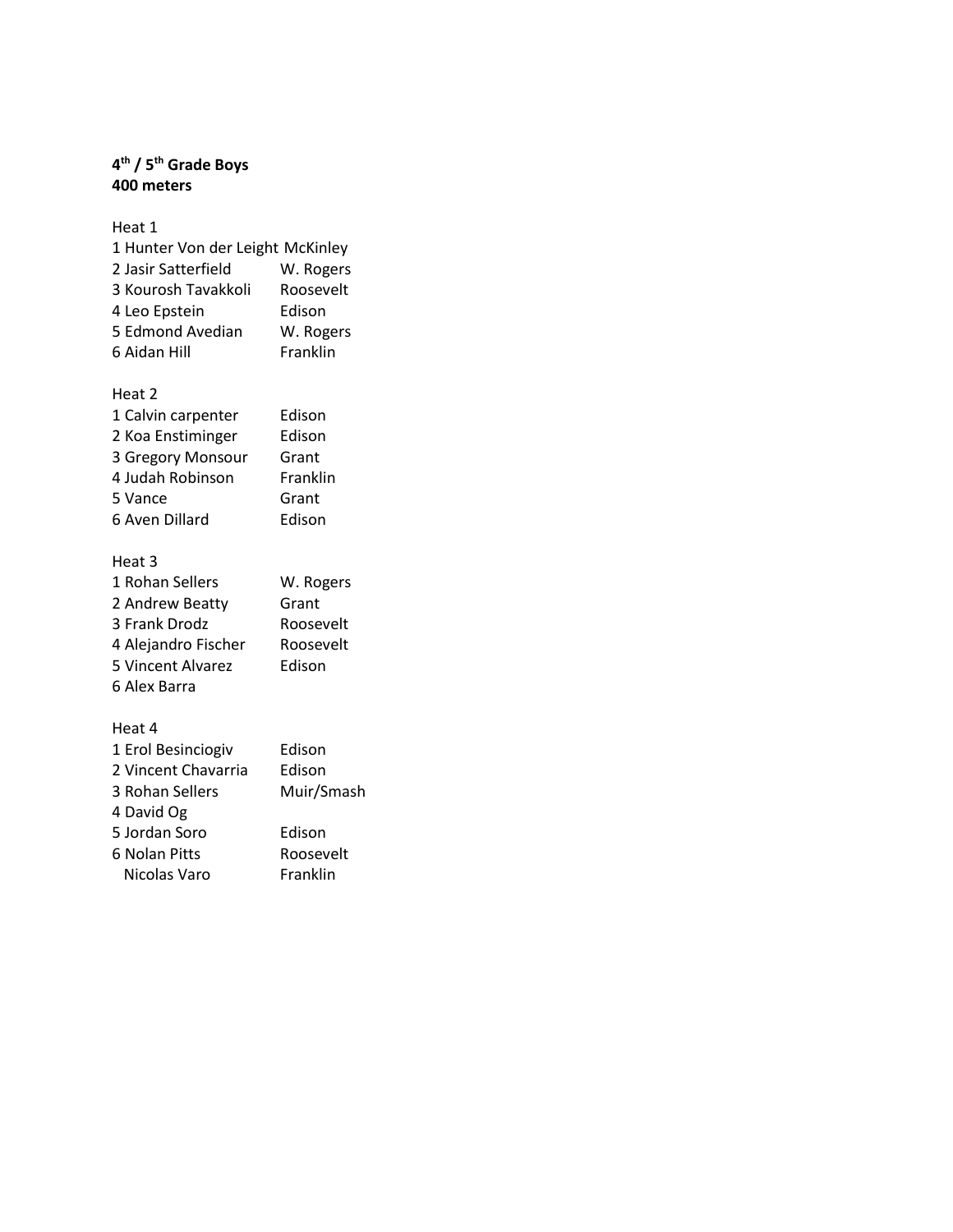### **4 th / 5th Grade Boys 400 meters**

Heat 1

| 1 Hunter Von der Leight McKinley |           |
|----------------------------------|-----------|
| 2 Jasir Satterfield              | W. Rogers |
| 3 Kourosh Tavakkoli              | Roosevelt |
| 4 Leo Epstein                    | Edison    |
| 5 Edmond Avedian                 | W. Rogers |
| 6 Aidan Hill                     | Franklin  |

# Heat 2

| 1 Calvin carpenter | Edison   |
|--------------------|----------|
| 2 Koa Enstiminger  | Edison   |
| 3 Gregory Monsour  | Grant    |
| 4 Judah Robinson   | Franklin |
| 5 Vance            | Grant    |
| 6 Aven Dillard     | Edison   |

## Heat 3

| 1 Rohan Sellers     | W. Rogers |
|---------------------|-----------|
| 2 Andrew Beatty     | Grant     |
| 3 Frank Drodz       | Roosevelt |
| 4 Alejandro Fischer | Roosevelt |
| 5 Vincent Alvarez   | Edison    |
| 6 Alex Barra        |           |

| 1 Erol Besinciogiv  | Edison     |
|---------------------|------------|
| 2 Vincent Chavarria | Edison     |
| 3 Rohan Sellers     | Muir/Smash |
| 4 David Og          |            |
| 5 Jordan Soro       | Edison     |
| 6 Nolan Pitts       | Roosevelt  |
| Nicolas Varo        | Franklin   |